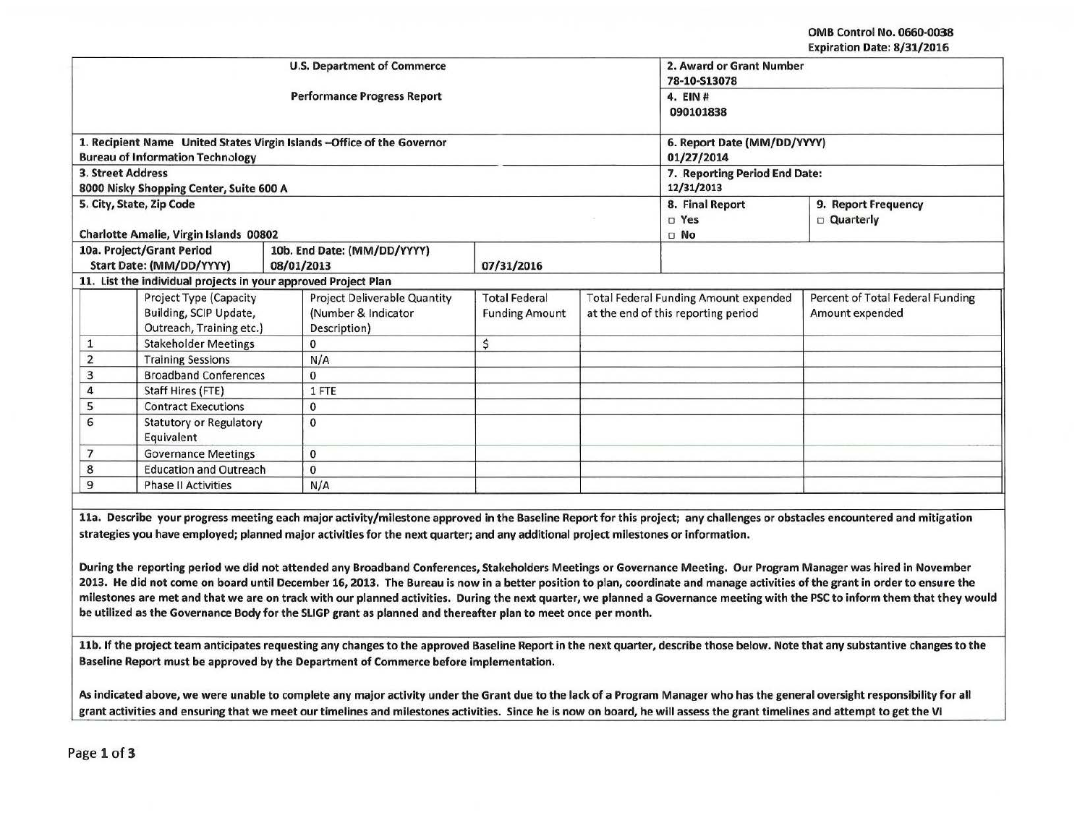OMB Control No. 0660-0038 Expiration Date: 8/31/2016

| <b>U.S. Department of Commerce</b> |                                                                |            |                                                                                                                                    |                               |                      | 2. Award or Grant Number                     |                                                                                                                                                                               |  |
|------------------------------------|----------------------------------------------------------------|------------|------------------------------------------------------------------------------------------------------------------------------------|-------------------------------|----------------------|----------------------------------------------|-------------------------------------------------------------------------------------------------------------------------------------------------------------------------------|--|
|                                    |                                                                |            | <b>Performance Progress Report</b>                                                                                                 | 78-10-S13078                  |                      |                                              |                                                                                                                                                                               |  |
|                                    |                                                                |            |                                                                                                                                    |                               | 4. EIN#<br>090101838 |                                              |                                                                                                                                                                               |  |
|                                    |                                                                |            |                                                                                                                                    |                               |                      |                                              |                                                                                                                                                                               |  |
|                                    |                                                                |            | 1. Recipient Name United States Virgin Islands - Office of the Governor                                                            |                               |                      | 6. Report Date (MM/DD/YYYY)                  |                                                                                                                                                                               |  |
|                                    | <b>Bureau of Information Technology</b>                        |            |                                                                                                                                    |                               | 01/27/2014           |                                              |                                                                                                                                                                               |  |
| 3. Street Address                  |                                                                |            |                                                                                                                                    | 7. Reporting Period End Date: |                      |                                              |                                                                                                                                                                               |  |
|                                    | 8000 Nisky Shopping Center, Suite 600 A                        |            |                                                                                                                                    |                               |                      | 12/31/2013                                   |                                                                                                                                                                               |  |
| 5. City, State, Zip Code           |                                                                |            |                                                                                                                                    |                               |                      | 8. Final Report                              | 9. Report Frequency                                                                                                                                                           |  |
|                                    |                                                                |            |                                                                                                                                    | $\square$ Yes                 | <b>Quarterly</b>     |                                              |                                                                                                                                                                               |  |
|                                    | Charlotte Amalie, Virgin Islands 00802                         |            |                                                                                                                                    |                               |                      | $\square$ No                                 |                                                                                                                                                                               |  |
| 10a. Project/Grant Period          |                                                                |            | 10b. End Date: (MM/DD/YYYY)                                                                                                        |                               |                      |                                              |                                                                                                                                                                               |  |
|                                    | Start Date: (MM/DD/YYYY)                                       | 08/01/2013 |                                                                                                                                    | 07/31/2016                    |                      |                                              |                                                                                                                                                                               |  |
|                                    | 11. List the individual projects in your approved Project Plan |            |                                                                                                                                    |                               |                      |                                              |                                                                                                                                                                               |  |
|                                    | Project Type (Capacity                                         |            | <b>Project Deliverable Quantity</b>                                                                                                | <b>Total Federal</b>          |                      | <b>Total Federal Funding Amount expended</b> | Percent of Total Federal Funding                                                                                                                                              |  |
|                                    | Building, SCIP Update,                                         |            | (Number & Indicator                                                                                                                | <b>Funding Amount</b>         |                      | at the end of this reporting period          | Amount expended                                                                                                                                                               |  |
|                                    | Outreach, Training etc.)                                       |            | Description)                                                                                                                       |                               |                      |                                              |                                                                                                                                                                               |  |
| $\mathbf{1}$                       | <b>Stakeholder Meetings</b>                                    |            | $\mathbf 0$                                                                                                                        | \$                            |                      |                                              |                                                                                                                                                                               |  |
| $\overline{2}$                     | <b>Training Sessions</b>                                       |            | N/A                                                                                                                                |                               |                      |                                              |                                                                                                                                                                               |  |
| 3                                  | <b>Broadband Conferences</b>                                   |            | $\Omega$                                                                                                                           |                               |                      |                                              |                                                                                                                                                                               |  |
| $\overline{4}$                     | Staff Hires (FTE)                                              |            | 1 FTE                                                                                                                              |                               |                      |                                              |                                                                                                                                                                               |  |
|                                    | 5<br><b>Contract Executions</b>                                |            | $\bf{0}$                                                                                                                           |                               |                      |                                              |                                                                                                                                                                               |  |
| 6                                  | <b>Statutory or Regulatory</b>                                 |            | $\Omega$                                                                                                                           |                               |                      |                                              |                                                                                                                                                                               |  |
|                                    | Equivalent                                                     |            |                                                                                                                                    |                               |                      |                                              |                                                                                                                                                                               |  |
| $\overline{7}$                     | <b>Governance Meetings</b>                                     |            | $\mathbf{0}$                                                                                                                       |                               |                      |                                              |                                                                                                                                                                               |  |
| 8                                  | <b>Education and Outreach</b>                                  |            | $\mathbf{0}$                                                                                                                       |                               |                      |                                              |                                                                                                                                                                               |  |
| 9                                  | <b>Phase II Activities</b>                                     |            | N/A                                                                                                                                |                               |                      |                                              |                                                                                                                                                                               |  |
|                                    |                                                                |            |                                                                                                                                    |                               |                      |                                              |                                                                                                                                                                               |  |
|                                    |                                                                |            |                                                                                                                                    |                               |                      |                                              | 11a. Describe your progress meeting each major activity/milestone approved in the Baseline Report for this project; any challenges or obstacles encountered and mitigation    |  |
|                                    |                                                                |            | strategies you have employed; planned major activities for the next quarter; and any additional project milestones or information. |                               |                      |                                              |                                                                                                                                                                               |  |
|                                    |                                                                |            |                                                                                                                                    |                               |                      |                                              |                                                                                                                                                                               |  |
|                                    |                                                                |            |                                                                                                                                    |                               |                      |                                              | During the reporting period we did not attended any Broadband Conferences, Stakeholders Meetings or Governance Meeting. Our Program Manager was hired in November             |  |
|                                    |                                                                |            |                                                                                                                                    |                               |                      |                                              | 2013. He did not come on board until December 16, 2013. The Bureau is now in a better position to plan, coordinate and manage activities of the grant in order to ensure the  |  |
|                                    |                                                                |            |                                                                                                                                    |                               |                      |                                              | milestones are met and that we are on track with our planned activities. During the next quarter, we planned a Governance meeting with the PSC to inform them that they would |  |
|                                    |                                                                |            | be utilized as the Governance Body for the SLIGP grant as planned and thereafter plan to meet once per month.                      |                               |                      |                                              |                                                                                                                                                                               |  |

11b. If the project team anticipates requesting any changes to the approved Baseline Report in the next quarter, describe those below. Note that any substantive changes to the Baseline Report must be approved by the Department of Commerce before implementation.

As indicated above, we were unable to complete any major activity under the Grant due to the lack of a Program Manager who has the general oversight responsibility for all grant activities and ensuring that we meet our timelines and milestones activities. Since he is now on board, he will assess the grant timelines and attempt to get the VI

Page 1 of 3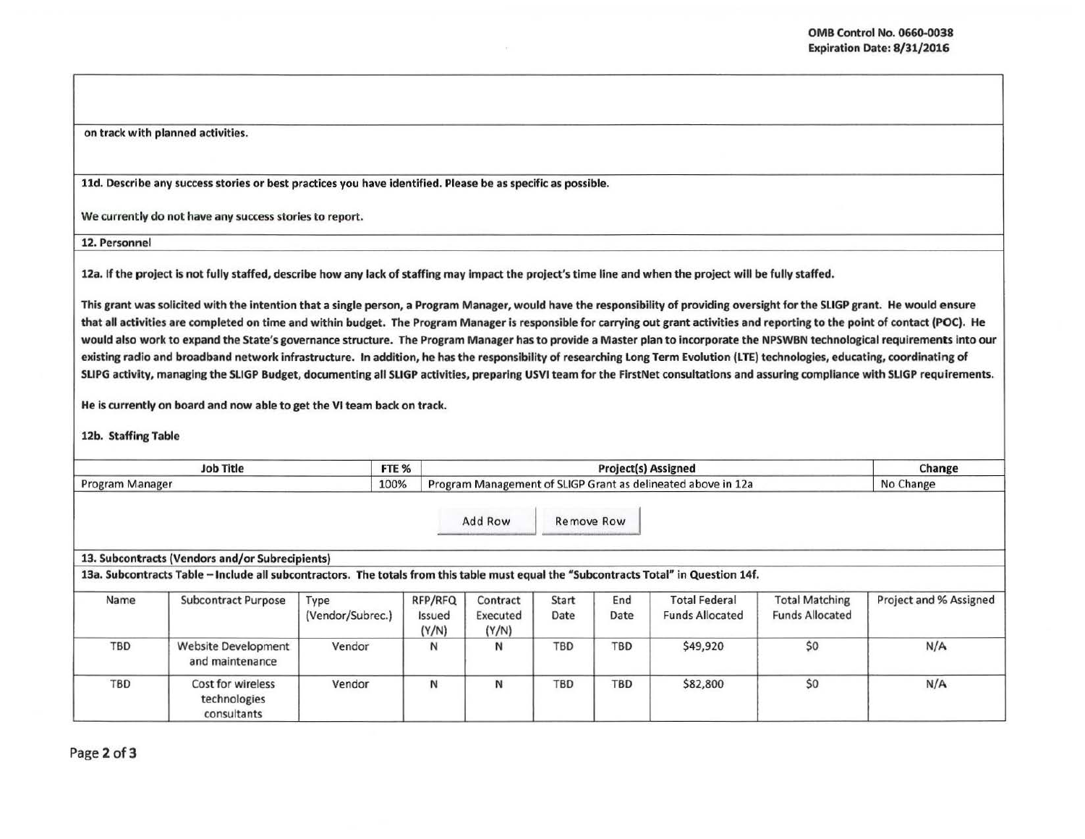on track with planned activities.

lld. Describe any success stories or best practices you have identified. Please be as specific as possible.

We currently do not have any success stories to report.

12. Personnel

12a. If the project is not fully staffed, describe how any lack of staffing may impact the project's time line and when the project will be fully staffed.

This grant was solicited with the intention that a single person, a Program Manager, would have the responsibility of providing oversight for the SLIGP grant. He would ensure that all activities are completed on time and within budget. The Program Manager is responsible for carrying out grant activities and reporting to the point of contact (POC). He would also work to expand the State's governance structure. The Program Manager has to provide a Master plan to incorporate the NPSWBN technological requirements into our existing radio and broadband network infrastructure. In addition, he has the responsibility of researching Long Term Evolution (LTE) technologies, educating, coordinating of SLIPG activity, managing the SLIGP Budget, documenting all SLIGP activities, preparing USVI team for the FirstNet consultations and assuring compliance with SLIGP requirements.

He is currently on board and now able to get the VI team back on track.

12b. Staffing Table

| FTE %<br><b>Job Title</b><br>100%<br>Program Manager |                                                                                                                                                                                          |                          |                            |                                                              | Change<br>No Change |             |                                                |                                                 |                        |
|------------------------------------------------------|------------------------------------------------------------------------------------------------------------------------------------------------------------------------------------------|--------------------------|----------------------------|--------------------------------------------------------------|---------------------|-------------|------------------------------------------------|-------------------------------------------------|------------------------|
|                                                      |                                                                                                                                                                                          |                          |                            | Program Management of SLIGP Grant as delineated above in 12a |                     |             |                                                |                                                 |                        |
|                                                      |                                                                                                                                                                                          |                          |                            | Add Row                                                      | <b>Remove Row</b>   |             |                                                |                                                 |                        |
|                                                      | 13. Subcontracts (Vendors and/or Subrecipients)<br>13a. Subcontracts Table - Include all subcontractors. The totals from this table must equal the "Subcontracts Total" in Question 14f. |                          |                            |                                                              |                     |             |                                                |                                                 |                        |
| Name                                                 | <b>Subcontract Purpose</b>                                                                                                                                                               | Type<br>(Vendor/Subrec.) | RFP/RFQ<br>Issued<br>(Y/N) | Contract<br>Executed<br>(Y/N)                                | Start<br>Date       | End<br>Date | <b>Total Federal</b><br><b>Funds Allocated</b> | <b>Total Matching</b><br><b>Funds Allocated</b> | Project and % Assigned |
| TBD                                                  | <b>Website Development</b><br>and maintenance                                                                                                                                            | Vendor                   | N                          | N                                                            | <b>TBD</b>          | <b>TBD</b>  | \$49,920                                       | \$0                                             | N/A                    |
| <b>TBD</b>                                           | Cost for wireless<br>technologies<br>consultants                                                                                                                                         | Vendor                   | N                          | N                                                            | <b>TBD</b>          | <b>TBD</b>  | \$82,800                                       | \$0                                             | N/A                    |